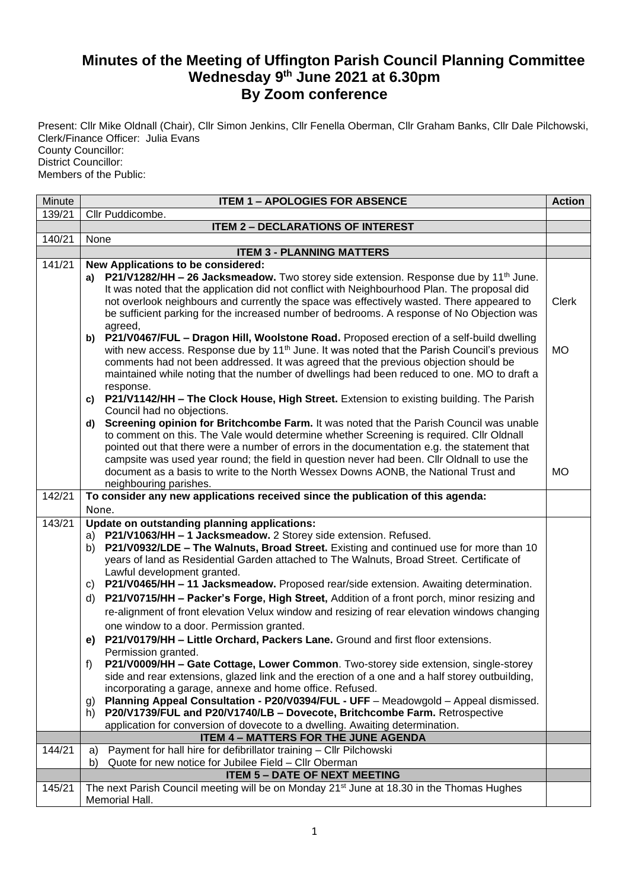## **Minutes of the Meeting of Uffington Parish Council Planning Committee Wednesday 9 th June 2021 at 6.30pm By Zoom conference**

Present: Cllr Mike Oldnall (Chair), Cllr Simon Jenkins, Cllr Fenella Oberman, Cllr Graham Banks, Cllr Dale Pilchowski, Clerk/Finance Officer: Julia Evans County Councillor: District Councillor: Members of the Public:

| Minute | <b>ITEM 1 - APOLOGIES FOR ABSENCE</b>                                                                                                                                                                                                                                                                                                                                                                                                                                                                                                                                                                                                                                                                                                                                                                                                                                                                                                                                                                                                                                                                                                                                                                                                                                                                                               | <b>Action</b> |
|--------|-------------------------------------------------------------------------------------------------------------------------------------------------------------------------------------------------------------------------------------------------------------------------------------------------------------------------------------------------------------------------------------------------------------------------------------------------------------------------------------------------------------------------------------------------------------------------------------------------------------------------------------------------------------------------------------------------------------------------------------------------------------------------------------------------------------------------------------------------------------------------------------------------------------------------------------------------------------------------------------------------------------------------------------------------------------------------------------------------------------------------------------------------------------------------------------------------------------------------------------------------------------------------------------------------------------------------------------|---------------|
| 139/21 | Cllr Puddicombe.                                                                                                                                                                                                                                                                                                                                                                                                                                                                                                                                                                                                                                                                                                                                                                                                                                                                                                                                                                                                                                                                                                                                                                                                                                                                                                                    |               |
|        | <b>ITEM 2 - DECLARATIONS OF INTEREST</b>                                                                                                                                                                                                                                                                                                                                                                                                                                                                                                                                                                                                                                                                                                                                                                                                                                                                                                                                                                                                                                                                                                                                                                                                                                                                                            |               |
| 140/21 | None                                                                                                                                                                                                                                                                                                                                                                                                                                                                                                                                                                                                                                                                                                                                                                                                                                                                                                                                                                                                                                                                                                                                                                                                                                                                                                                                |               |
| 141/21 | <b>ITEM 3 - PLANNING MATTERS</b><br>New Applications to be considered:                                                                                                                                                                                                                                                                                                                                                                                                                                                                                                                                                                                                                                                                                                                                                                                                                                                                                                                                                                                                                                                                                                                                                                                                                                                              |               |
|        | a) P21/V1282/HH - 26 Jacksmeadow. Two storey side extension. Response due by 11 <sup>th</sup> June.<br>It was noted that the application did not conflict with Neighbourhood Plan. The proposal did<br>not overlook neighbours and currently the space was effectively wasted. There appeared to<br>be sufficient parking for the increased number of bedrooms. A response of No Objection was                                                                                                                                                                                                                                                                                                                                                                                                                                                                                                                                                                                                                                                                                                                                                                                                                                                                                                                                      | <b>Clerk</b>  |
|        | agreed,<br>b) P21/V0467/FUL - Dragon Hill, Woolstone Road. Proposed erection of a self-build dwelling<br>with new access. Response due by 11 <sup>th</sup> June. It was noted that the Parish Council's previous<br>comments had not been addressed. It was agreed that the previous objection should be<br>maintained while noting that the number of dwellings had been reduced to one. MO to draft a<br>response.                                                                                                                                                                                                                                                                                                                                                                                                                                                                                                                                                                                                                                                                                                                                                                                                                                                                                                                | <b>MO</b>     |
|        | c) P21/V1142/HH - The Clock House, High Street. Extension to existing building. The Parish<br>Council had no objections.<br>d) Screening opinion for Britchcombe Farm. It was noted that the Parish Council was unable<br>to comment on this. The Vale would determine whether Screening is required. Cllr Oldnall<br>pointed out that there were a number of errors in the documentation e.g. the statement that                                                                                                                                                                                                                                                                                                                                                                                                                                                                                                                                                                                                                                                                                                                                                                                                                                                                                                                   |               |
|        | campsite was used year round; the field in question never had been. Cllr Oldnall to use the<br>document as a basis to write to the North Wessex Downs AONB, the National Trust and<br>neighbouring parishes.                                                                                                                                                                                                                                                                                                                                                                                                                                                                                                                                                                                                                                                                                                                                                                                                                                                                                                                                                                                                                                                                                                                        | <b>MO</b>     |
| 142/21 | To consider any new applications received since the publication of this agenda:                                                                                                                                                                                                                                                                                                                                                                                                                                                                                                                                                                                                                                                                                                                                                                                                                                                                                                                                                                                                                                                                                                                                                                                                                                                     |               |
|        | None.                                                                                                                                                                                                                                                                                                                                                                                                                                                                                                                                                                                                                                                                                                                                                                                                                                                                                                                                                                                                                                                                                                                                                                                                                                                                                                                               |               |
| 143/21 | Update on outstanding planning applications:<br>a) P21/V1063/HH - 1 Jacksmeadow. 2 Storey side extension. Refused.<br>b) P21/V0932/LDE - The Walnuts, Broad Street. Existing and continued use for more than 10<br>years of land as Residential Garden attached to The Walnuts, Broad Street. Certificate of<br>Lawful development granted.<br>c) P21/V0465/HH - 11 Jacksmeadow. Proposed rear/side extension. Awaiting determination.<br>P21/V0715/HH - Packer's Forge, High Street, Addition of a front porch, minor resizing and<br>d)<br>re-alignment of front elevation Velux window and resizing of rear elevation windows changing<br>one window to a door. Permission granted.<br>P21/V0179/HH - Little Orchard, Packers Lane. Ground and first floor extensions.<br>e)<br>Permission granted.<br>P21/V0009/HH - Gate Cottage, Lower Common. Two-storey side extension, single-storey<br>f)<br>side and rear extensions, glazed link and the erection of a one and a half storey outbuilding,<br>incorporating a garage, annexe and home office. Refused.<br>Planning Appeal Consultation - P20/V0394/FUL - UFF - Meadowgold - Appeal dismissed.<br>g)<br>P20/V1739/FUL and P20/V1740/LB - Dovecote, Britchcombe Farm. Retrospective<br>h)<br>application for conversion of dovecote to a dwelling. Awaiting determination. |               |
|        | <b>ITEM 4 - MATTERS FOR THE JUNE AGENDA</b>                                                                                                                                                                                                                                                                                                                                                                                                                                                                                                                                                                                                                                                                                                                                                                                                                                                                                                                                                                                                                                                                                                                                                                                                                                                                                         |               |
| 144/21 | Payment for hall hire for defibrillator training - Cllr Pilchowski<br>a)<br>Quote for new notice for Jubilee Field - Cllr Oberman<br>b)                                                                                                                                                                                                                                                                                                                                                                                                                                                                                                                                                                                                                                                                                                                                                                                                                                                                                                                                                                                                                                                                                                                                                                                             |               |
|        | <b>ITEM 5 - DATE OF NEXT MEETING</b>                                                                                                                                                                                                                                                                                                                                                                                                                                                                                                                                                                                                                                                                                                                                                                                                                                                                                                                                                                                                                                                                                                                                                                                                                                                                                                |               |
| 145/21 | The next Parish Council meeting will be on Monday 21 <sup>st</sup> June at 18.30 in the Thomas Hughes<br>Memorial Hall.                                                                                                                                                                                                                                                                                                                                                                                                                                                                                                                                                                                                                                                                                                                                                                                                                                                                                                                                                                                                                                                                                                                                                                                                             |               |